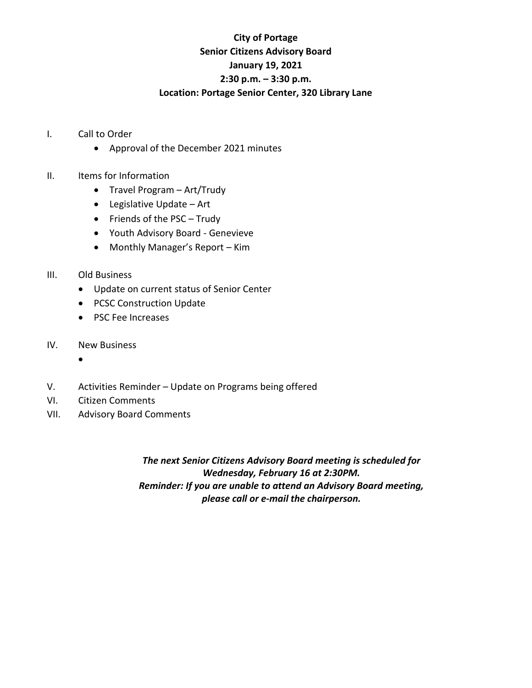## **City of Portage Senior Citizens Advisory Board January 19, 2021 2:30 p.m. – 3:30 p.m. Location: Portage Senior Center, 320 Library Lane**

- I. Call to Order
	- Approval of the December 2021 minutes
- II. Items for Information
	- Travel Program Art/Trudy
	- Legislative Update Art
	- Friends of the PSC Trudy
	- Youth Advisory Board Genevieve
	- Monthly Manager's Report Kim
- III. Old Business
	- Update on current status of Senior Center
	- PCSC Construction Update
	- PSC Fee Increases
- IV. New Business
	- •
- V. Activities Reminder Update on Programs being offered
- VI. Citizen Comments
- VII. Advisory Board Comments

*The next Senior Citizens Advisory Board meeting is scheduled for Wednesday, February 16 at 2:30PM. Reminder: If you are unable to attend an Advisory Board meeting, please call or e-mail the chairperson.*